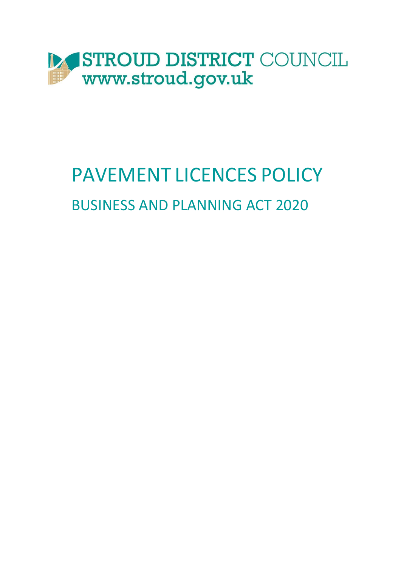

# PAVEMENT LICENCES POLICY BUSINESS AND PLANNING ACT 2020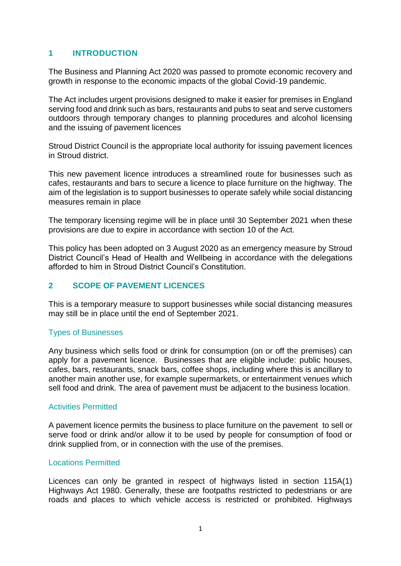## **1 INTRODUCTION**

The Business and Planning Act 2020 was passed to promote economic recovery and growth in response to the economic impacts of the global Covid-19 pandemic.

The Act includes urgent provisions designed to make it easier for premises in England serving food and drink such as bars, restaurants and pubs to seat and serve customers outdoors through temporary changes to planning procedures and alcohol licensing and the issuing of pavement licences

Stroud District Council is the appropriate local authority for issuing pavement licences in Stroud district.

This new pavement licence introduces a streamlined route for businesses such as cafes, restaurants and bars to secure a licence to place furniture on the highway. The aim of the legislation is to support businesses to operate safely while social distancing measures remain in place

The temporary licensing regime will be in place until 30 September 2021 when these provisions are due to expire in accordance with section 10 of the Act.

This policy has been adopted on 3 August 2020 as an emergency measure by Stroud District Council's Head of Health and Wellbeing in accordance with the delegations afforded to him in Stroud District Council's Constitution.

#### **2 SCOPE OF PAVEMENT LICENCES**

This is a temporary measure to support businesses while social distancing measures may still be in place until the end of September 2021.

#### Types of Businesses

Any business which sells food or drink for consumption (on or off the premises) can apply for a pavement licence. Businesses that are eligible include: public houses, cafes, bars, restaurants, snack bars, coffee shops, including where this is ancillary to another main another use, for example supermarkets, or entertainment venues which sell food and drink. The area of pavement must be adjacent to the business location.

#### Activities Permitted

A pavement licence permits the business to place furniture on the pavement to sell or serve food or drink and/or allow it to be used by people for consumption of food or drink supplied from, or in connection with the use of the premises.

#### Locations Permitted

Licences can only be granted in respect of highways listed in section 115A(1) Highways Act 1980. Generally, these are footpaths restricted to pedestrians or are roads and places to which vehicle access is restricted or prohibited. Highways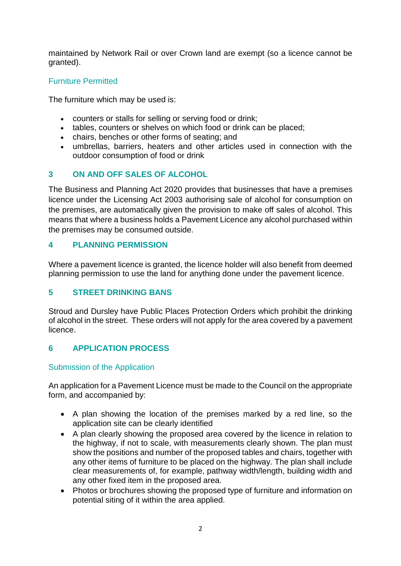maintained by Network Rail or over Crown land are exempt (so a licence cannot be granted).

### Furniture Permitted

The furniture which may be used is:

- counters or stalls for selling or serving food or drink;
- tables, counters or shelves on which food or drink can be placed;
- chairs, benches or other forms of seating; and
- umbrellas, barriers, heaters and other articles used in connection with the outdoor consumption of food or drink

### **3 ON AND OFF SALES OF ALCOHOL**

The Business and Planning Act 2020 provides that businesses that have a premises licence under the Licensing Act 2003 authorising sale of alcohol for consumption on the premises, are automatically given the provision to make off sales of alcohol. This means that where a business holds a Pavement Licence any alcohol purchased within the premises may be consumed outside.

### **4 PLANNING PERMISSION**

Where a pavement licence is granted, the licence holder will also benefit from deemed planning permission to use the land for anything done under the pavement licence.

### **5 STREET DRINKING BANS**

Stroud and Dursley have Public Places Protection Orders which prohibit the drinking of alcohol in the street. These orders will not apply for the area covered by a pavement licence.

### **6 APPLICATION PROCESS**

#### Submission of the Application

An application for a Pavement Licence must be made to the Council on the appropriate form, and accompanied by:

- A plan showing the location of the premises marked by a red line, so the application site can be clearly identified
- A plan clearly showing the proposed area covered by the licence in relation to the highway, if not to scale, with measurements clearly shown. The plan must show the positions and number of the proposed tables and chairs, together with any other items of furniture to be placed on the highway. The plan shall include clear measurements of, for example, pathway width/length, building width and any other fixed item in the proposed area.
- Photos or brochures showing the proposed type of furniture and information on potential siting of it within the area applied.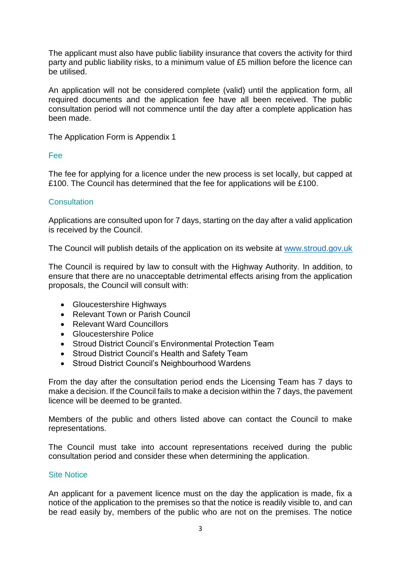The applicant must also have public liability insurance that covers the activity for third party and public liability risks, to a minimum value of £5 million before the licence can be utilised.

An application will not be considered complete (valid) until the application form, all required documents and the application fee have all been received. The public consultation period will not commence until the day after a complete application has been made.

The Application Form is Appendix 1

#### Fee

The fee for applying for a licence under the new process is set locally, but capped at £100. The Council has determined that the fee for applications will be £100.

#### **Consultation**

Applications are consulted upon for 7 days, starting on the day after a valid application is received by the Council.

The Council will publish details of the application on its website at [www.stroud.gov.uk](http://www.stroud.gov.uk/)

The Council is required by law to consult with the Highway Authority. In addition, to ensure that there are no unacceptable detrimental effects arising from the application proposals, the Council will consult with:

- Gloucestershire Highways
- Relevant Town or Parish Council
- Relevant Ward Councillors
- Gloucestershire Police
- Stroud District Council's Environmental Protection Team
- Stroud District Council's Health and Safety Team
- Stroud District Council's Neighbourhood Wardens

From the day after the consultation period ends the Licensing Team has 7 days to make a decision. If the Council fails to make a decision within the 7 days, the pavement licence will be deemed to be granted.

Members of the public and others listed above can contact the Council to make representations.

The Council must take into account representations received during the public consultation period and consider these when determining the application.

#### Site Notice

An applicant for a pavement licence must on the day the application is made, fix a notice of the application to the premises so that the notice is readily visible to, and can be read easily by, members of the public who are not on the premises. The notice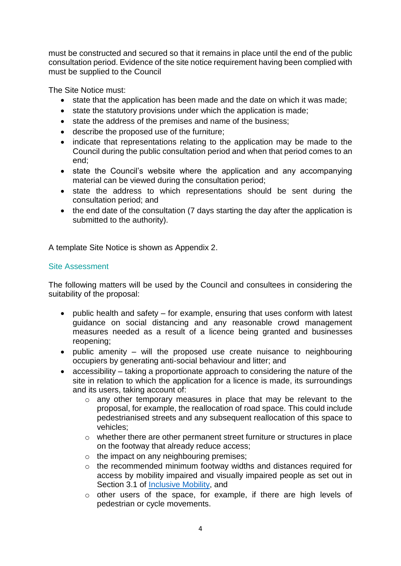must be constructed and secured so that it remains in place until the end of the public consultation period. Evidence of the site notice requirement having been complied with must be supplied to the Council

The Site Notice must:

- state that the application has been made and the date on which it was made:
- state the statutory provisions under which the application is made;
- state the address of the premises and name of the business;
- describe the proposed use of the furniture;
- indicate that representations relating to the application may be made to the Council during the public consultation period and when that period comes to an end;
- state the Council's website where the application and any accompanying material can be viewed during the consultation period;
- state the address to which representations should be sent during the consultation period; and
- the end date of the consultation (7 days starting the day after the application is submitted to the authority).

A template Site Notice is shown as Appendix 2.

### Site Assessment

The following matters will be used by the Council and consultees in considering the suitability of the proposal:

- public health and safety for example, ensuring that uses conform with latest guidance on social distancing and any reasonable crowd management measures needed as a result of a licence being granted and businesses reopening;
- $\bullet$  public amenity will the proposed use create nuisance to neighbouring occupiers by generating anti-social behaviour and litter; and
- accessibility taking a proportionate approach to considering the nature of the site in relation to which the application for a licence is made, its surroundings and its users, taking account of:
	- o any other temporary measures in place that may be relevant to the proposal, for example, the reallocation of road space. This could include pedestrianised streets and any subsequent reallocation of this space to vehicles;
	- o whether there are other permanent street furniture or structures in place on the footway that already reduce access;
	- o the impact on any neighbouring premises;
	- o the recommended minimum footway widths and distances required for access by mobility impaired and visually impaired people as set out in Section 3.1 of [Inclusive Mobility,](https://www.gov.uk/government/publications/inclusive-mobility) and
	- o other users of the space, for example, if there are high levels of pedestrian or cycle movements.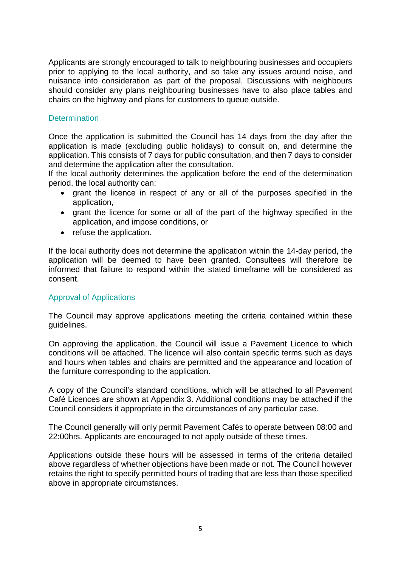Applicants are strongly encouraged to talk to neighbouring businesses and occupiers prior to applying to the local authority, and so take any issues around noise, and nuisance into consideration as part of the proposal. Discussions with neighbours should consider any plans neighbouring businesses have to also place tables and chairs on the highway and plans for customers to queue outside.

#### **Determination**

Once the application is submitted the Council has 14 days from the day after the application is made (excluding public holidays) to consult on, and determine the application. This consists of 7 days for public consultation, and then 7 days to consider and determine the application after the consultation.

If the local authority determines the application before the end of the determination period, the local authority can:

- grant the licence in respect of any or all of the purposes specified in the application,
- grant the licence for some or all of the part of the highway specified in the application, and impose conditions, or
- refuse the application.

If the local authority does not determine the application within the 14-day period, the application will be deemed to have been granted. Consultees will therefore be informed that failure to respond within the stated timeframe will be considered as consent.

#### Approval of Applications

The Council may approve applications meeting the criteria contained within these guidelines.

On approving the application, the Council will issue a Pavement Licence to which conditions will be attached. The licence will also contain specific terms such as days and hours when tables and chairs are permitted and the appearance and location of the furniture corresponding to the application.

A copy of the Council's standard conditions, which will be attached to all Pavement Café Licences are shown at Appendix 3. Additional conditions may be attached if the Council considers it appropriate in the circumstances of any particular case.

The Council generally will only permit Pavement Cafés to operate between 08:00 and 22:00hrs. Applicants are encouraged to not apply outside of these times.

Applications outside these hours will be assessed in terms of the criteria detailed above regardless of whether objections have been made or not. The Council however retains the right to specify permitted hours of trading that are less than those specified above in appropriate circumstances.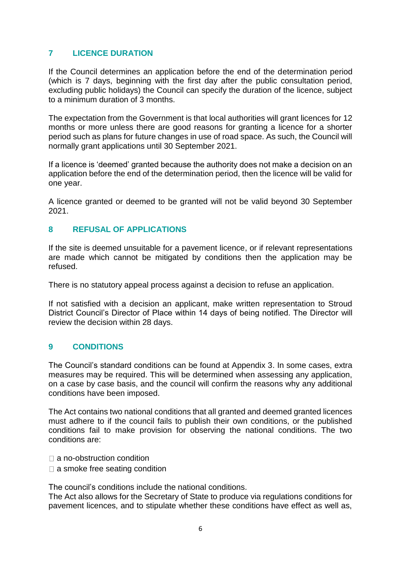## **7 LICENCE DURATION**

If the Council determines an application before the end of the determination period (which is 7 days, beginning with the first day after the public consultation period, excluding public holidays) the Council can specify the duration of the licence, subject to a minimum duration of 3 months.

The expectation from the Government is that local authorities will grant licences for 12 months or more unless there are good reasons for granting a licence for a shorter period such as plans for future changes in use of road space. As such, the Council will normally grant applications until 30 September 2021.

If a licence is 'deemed' granted because the authority does not make a decision on an application before the end of the determination period, then the licence will be valid for one year.

A licence granted or deemed to be granted will not be valid beyond 30 September 2021.

#### **8 REFUSAL OF APPLICATIONS**

If the site is deemed unsuitable for a pavement licence, or if relevant representations are made which cannot be mitigated by conditions then the application may be refused.

There is no statutory appeal process against a decision to refuse an application.

If not satisfied with a decision an applicant, make written representation to Stroud District Council's Director of Place within 14 days of being notified. The Director will review the decision within 28 days.

### **9 CONDITIONS**

The Council's standard conditions can be found at Appendix 3. In some cases, extra measures may be required. This will be determined when assessing any application, on a case by case basis, and the council will confirm the reasons why any additional conditions have been imposed.

The Act contains two national conditions that all granted and deemed granted licences must adhere to if the council fails to publish their own conditions, or the published conditions fail to make provision for observing the national conditions. The two conditions are:

- $\Box$  a no-obstruction condition
- $\square$  a smoke free seating condition

The council's conditions include the national conditions.

The Act also allows for the Secretary of State to produce via regulations conditions for pavement licences, and to stipulate whether these conditions have effect as well as,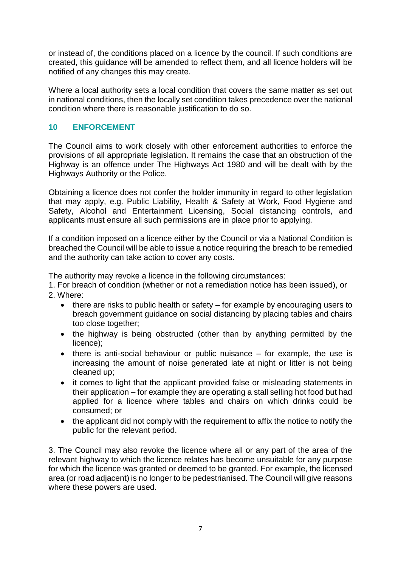or instead of, the conditions placed on a licence by the council. If such conditions are created, this guidance will be amended to reflect them, and all licence holders will be notified of any changes this may create.

Where a local authority sets a local condition that covers the same matter as set out in national conditions, then the locally set condition takes precedence over the national condition where there is reasonable justification to do so.

### **10 ENFORCEMENT**

The Council aims to work closely with other enforcement authorities to enforce the provisions of all appropriate legislation. It remains the case that an obstruction of the Highway is an offence under The Highways Act 1980 and will be dealt with by the Highways Authority or the Police.

Obtaining a licence does not confer the holder immunity in regard to other legislation that may apply, e.g. Public Liability, Health & Safety at Work, Food Hygiene and Safety, Alcohol and Entertainment Licensing, Social distancing controls, and applicants must ensure all such permissions are in place prior to applying.

If a condition imposed on a licence either by the Council or via a National Condition is breached the Council will be able to issue a notice requiring the breach to be remedied and the authority can take action to cover any costs.

The authority may revoke a licence in the following circumstances:

1. For breach of condition (whether or not a remediation notice has been issued), or 2. Where:

- there are risks to public health or safety for example by encouraging users to breach government guidance on social distancing by placing tables and chairs too close together;
- the highway is being obstructed (other than by anything permitted by the licence);
- $\bullet$  there is anti-social behaviour or public nuisance for example, the use is increasing the amount of noise generated late at night or litter is not being cleaned up;
- it comes to light that the applicant provided false or misleading statements in their application – for example they are operating a stall selling hot food but had applied for a licence where tables and chairs on which drinks could be consumed; or
- the applicant did not comply with the requirement to affix the notice to notify the public for the relevant period.

3. The Council may also revoke the licence where all or any part of the area of the relevant highway to which the licence relates has become unsuitable for any purpose for which the licence was granted or deemed to be granted. For example, the licensed area (or road adjacent) is no longer to be pedestrianised. The Council will give reasons where these powers are used.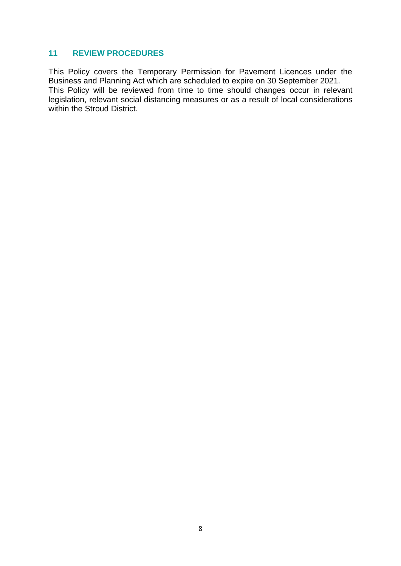#### **11 REVIEW PROCEDURES**

This Policy covers the Temporary Permission for Pavement Licences under the Business and Planning Act which are scheduled to expire on 30 September 2021. This Policy will be reviewed from time to time should changes occur in relevant legislation, relevant social distancing measures or as a result of local considerations within the Stroud District.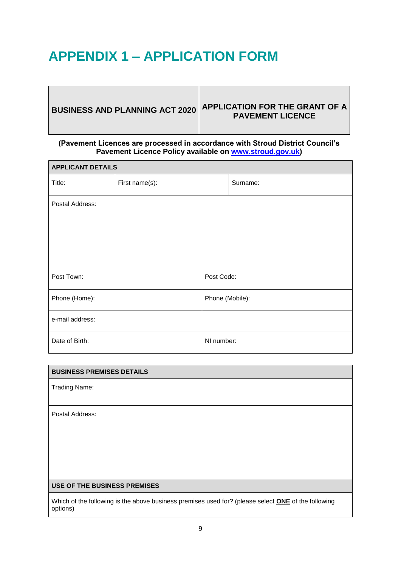# **APPENDIX 1 – APPLICATION FORM**

| <b>BUSINESS AND PLANNING ACT 2020</b> | <b>APPLICATION FOR THE GRANT OF A</b><br><b>PAVEMENT LICENCE</b> |
|---------------------------------------|------------------------------------------------------------------|
|---------------------------------------|------------------------------------------------------------------|

#### **(Pavement Licences are processed in accordance with Stroud District Council's Pavement Licence Policy available on [www.stroud.gov.uk\)](http://www.stroud.gov.uk/)**

| <b>APPLICANT DETAILS</b> |                |                 |          |  |
|--------------------------|----------------|-----------------|----------|--|
| Title:                   | First name(s): |                 | Surname: |  |
| Postal Address:          |                |                 |          |  |
|                          |                |                 |          |  |
|                          |                |                 |          |  |
| Post Town:               |                | Post Code:      |          |  |
| Phone (Home):            |                | Phone (Mobile): |          |  |
| e-mail address:          |                |                 |          |  |
| Date of Birth:           |                | NI number:      |          |  |

| <b>BUSINESS PREMISES DETAILS</b>                                                                                       |
|------------------------------------------------------------------------------------------------------------------------|
| <b>Trading Name:</b>                                                                                                   |
| Postal Address:                                                                                                        |
| USE OF THE BUSINESS PREMISES                                                                                           |
| Which of the following is the above business premises used for? (please select <b>ONE</b> of the following<br>options) |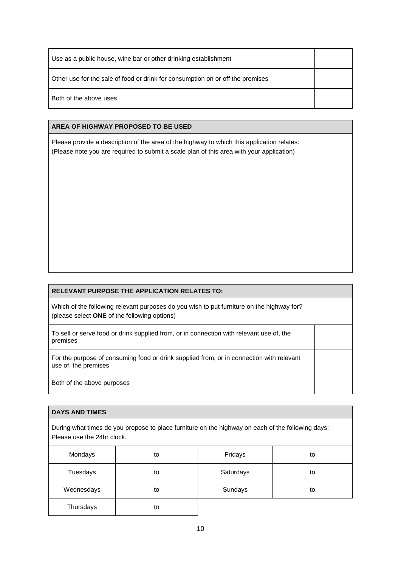| Use as a public house, wine bar or other drinking establishment                |  |
|--------------------------------------------------------------------------------|--|
| Other use for the sale of food or drink for consumption on or off the premises |  |
| Both of the above uses                                                         |  |

#### **AREA OF HIGHWAY PROPOSED TO BE USED**

Please provide a description of the area of the highway to which this application relates: (Please note you are required to submit a scale plan of this area with your application)

#### **RELEVANT PURPOSE THE APPLICATION RELATES TO:**

Which of the following relevant purposes do you wish to put furniture on the highway for? (please select **ONE** of the following options)

To sell or serve food or drink supplied from, or in connection with relevant use of, the premises

For the purpose of consuming food or drink supplied from, or in connection with relevant use of, the premises

Both of the above purposes

#### **DAYS AND TIMES**

During what times do you propose to place furniture on the highway on each of the following days: Please use the 24hr clock.

| Mondays    | to | Fridays   | to |
|------------|----|-----------|----|
| Tuesdays   | to | Saturdays | to |
| Wednesdays | to | Sundays   | to |
| Thursdays  | to |           |    |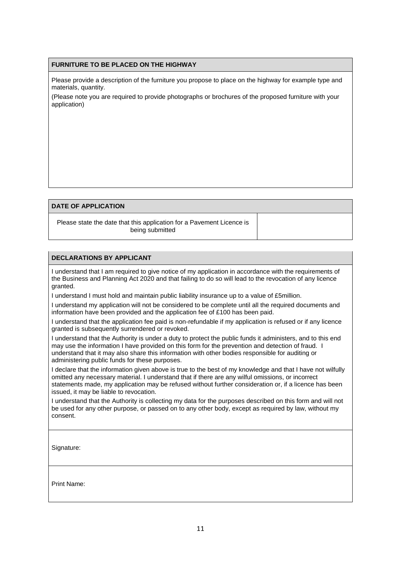#### **FURNITURE TO BE PLACED ON THE HIGHWAY**

Please provide a description of the furniture you propose to place on the highway for example type and materials, quantity.

(Please note you are required to provide photographs or brochures of the proposed furniture with your application)

#### **DATE OF APPLICATION**

Please state the date that this application for a Pavement Licence is being submitted

#### **DECLARATIONS BY APPLICANT**

I understand that I am required to give notice of my application in accordance with the requirements of the Business and Planning Act 2020 and that failing to do so will lead to the revocation of any licence granted.

I understand I must hold and maintain public liability insurance up to a value of £5million.

I understand my application will not be considered to be complete until all the required documents and information have been provided and the application fee of £100 has been paid.

I understand that the application fee paid is non-refundable if my application is refused or if any licence granted is subsequently surrendered or revoked.

I understand that the Authority is under a duty to protect the public funds it administers, and to this end may use the information I have provided on this form for the prevention and detection of fraud. I understand that it may also share this information with other bodies responsible for auditing or administering public funds for these purposes.

I declare that the information given above is true to the best of my knowledge and that I have not wilfully omitted any necessary material. I understand that if there are any wilful omissions, or incorrect statements made, my application may be refused without further consideration or, if a licence has been issued, it may be liable to revocation.

I understand that the Authority is collecting my data for the purposes described on this form and will not be used for any other purpose, or passed on to any other body, except as required by law, without my consent.

Signature:

Print Name: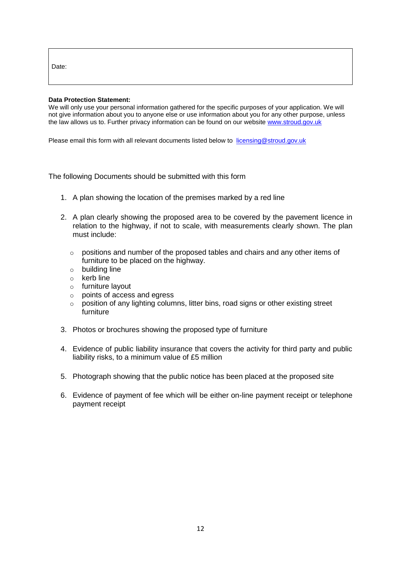Date:

#### **Data Protection Statement:**

We will only use your personal information gathered for the specific purposes of your application. We will not give information about you to anyone else or use information about you for any other purpose, unless the law allows us to. Further privacy information can be found on our website [www.stroud.gov.uk](http://www.stroud.gov.uk/)

Please email this form with all relevant documents listed below to [licensing@stroud.gov.uk](mailto:licensing@stroud.gov.uk)

The following Documents should be submitted with this form

- 1. A plan showing the location of the premises marked by a red line
- 2. A plan clearly showing the proposed area to be covered by the pavement licence in relation to the highway, if not to scale, with measurements clearly shown. The plan must include:
	- $\circ$  positions and number of the proposed tables and chairs and any other items of furniture to be placed on the highway.
	- o building line
	- $\circ$  kerb line
	- o furniture layout
	- o points of access and egress
	- $\circ$  position of any lighting columns, litter bins, road signs or other existing street furniture
- 3. Photos or brochures showing the proposed type of furniture
- 4. Evidence of public liability insurance that covers the activity for third party and public liability risks, to a minimum value of £5 million
- 5. Photograph showing that the public notice has been placed at the proposed site
- 6. Evidence of payment of fee which will be either on-line payment receipt or telephone payment receipt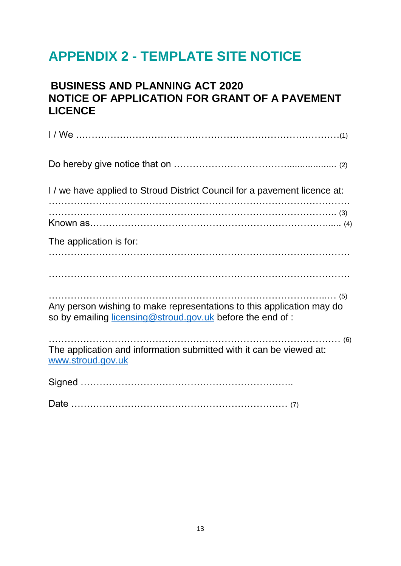# **APPENDIX 2 - TEMPLATE SITE NOTICE**

# **BUSINESS AND PLANNING ACT 2020 NOTICE OF APPLICATION FOR GRANT OF A PAVEMENT LICENCE**

| I/ we have applied to Stroud District Council for a pavement licence at:                                                           |
|------------------------------------------------------------------------------------------------------------------------------------|
|                                                                                                                                    |
| The application is for:                                                                                                            |
|                                                                                                                                    |
| Any person wishing to make representations to this application may do<br>so by emailing licensing@stroud.gov.uk before the end of: |
| The application and information submitted with it can be viewed at:<br>www.stroud.gov.uk                                           |
|                                                                                                                                    |
|                                                                                                                                    |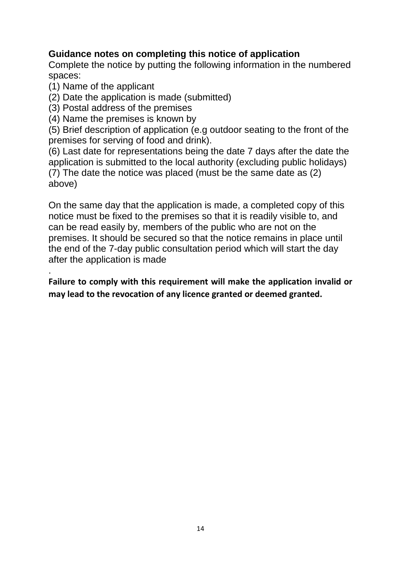# **Guidance notes on completing this notice of application**

Complete the notice by putting the following information in the numbered spaces:

(1) Name of the applicant

.

- (2) Date the application is made (submitted)
- (3) Postal address of the premises
- (4) Name the premises is known by

(5) Brief description of application (e.g outdoor seating to the front of the premises for serving of food and drink).

(6) Last date for representations being the date 7 days after the date the application is submitted to the local authority (excluding public holidays) (7) The date the notice was placed (must be the same date as (2) above)

On the same day that the application is made, a completed copy of this notice must be fixed to the premises so that it is readily visible to, and can be read easily by, members of the public who are not on the premises. It should be secured so that the notice remains in place until the end of the 7-day public consultation period which will start the day after the application is made

**Failure to comply with this requirement will make the application invalid or may lead to the revocation of any licence granted or deemed granted.**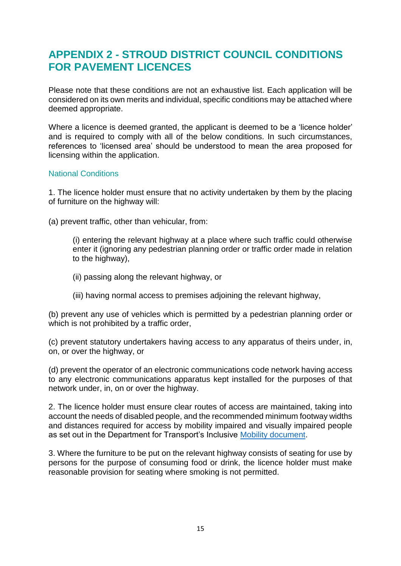# **APPENDIX 2 - STROUD DISTRICT COUNCIL CONDITIONS FOR PAVEMENT LICENCES**

Please note that these conditions are not an exhaustive list. Each application will be considered on its own merits and individual, specific conditions may be attached where deemed appropriate.

Where a licence is deemed granted, the applicant is deemed to be a 'licence holder' and is required to comply with all of the below conditions. In such circumstances, references to 'licensed area' should be understood to mean the area proposed for licensing within the application.

#### National Conditions

1. The licence holder must ensure that no activity undertaken by them by the placing of furniture on the highway will:

(a) prevent traffic, other than vehicular, from:

(i) entering the relevant highway at a place where such traffic could otherwise enter it (ignoring any pedestrian planning order or traffic order made in relation to the highway),

- (ii) passing along the relevant highway, or
- (iii) having normal access to premises adjoining the relevant highway,

(b) prevent any use of vehicles which is permitted by a pedestrian planning order or which is not prohibited by a traffic order.

(c) prevent statutory undertakers having access to any apparatus of theirs under, in, on, or over the highway, or

(d) prevent the operator of an electronic communications code network having access to any electronic communications apparatus kept installed for the purposes of that network under, in, on or over the highway.

2. The licence holder must ensure clear routes of access are maintained, taking into account the needs of disabled people, and the recommended minimum footway widths and distances required for access by mobility impaired and visually impaired people as set out in the Department for Transport's Inclusive [Mobility document.](https://www.gov.uk/government/publications/inclusive-mobility)

3. Where the furniture to be put on the relevant highway consists of seating for use by persons for the purpose of consuming food or drink, the licence holder must make reasonable provision for seating where smoking is not permitted.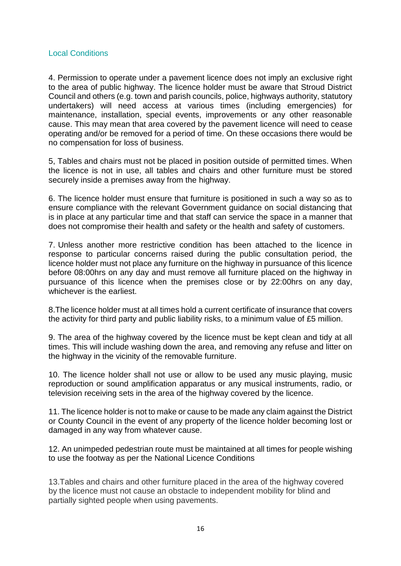#### Local Conditions

4. Permission to operate under a pavement licence does not imply an exclusive right to the area of public highway. The licence holder must be aware that Stroud District Council and others (e.g. town and parish councils, police, highways authority, statutory undertakers) will need access at various times (including emergencies) for maintenance, installation, special events, improvements or any other reasonable cause. This may mean that area covered by the pavement licence will need to cease operating and/or be removed for a period of time. On these occasions there would be no compensation for loss of business.

5, Tables and chairs must not be placed in position outside of permitted times. When the licence is not in use, all tables and chairs and other furniture must be stored securely inside a premises away from the highway.

6. The licence holder must ensure that furniture is positioned in such a way so as to ensure compliance with the relevant Government guidance on social distancing that is in place at any particular time and that staff can service the space in a manner that does not compromise their health and safety or the health and safety of customers.

7. Unless another more restrictive condition has been attached to the licence in response to particular concerns raised during the public consultation period, the licence holder must not place any furniture on the highway in pursuance of this licence before 08:00hrs on any day and must remove all furniture placed on the highway in pursuance of this licence when the premises close or by 22:00hrs on any day, whichever is the earliest.

8.The licence holder must at all times hold a current certificate of insurance that covers the activity for third party and public liability risks, to a minimum value of £5 million.

9. The area of the highway covered by the licence must be kept clean and tidy at all times. This will include washing down the area, and removing any refuse and litter on the highway in the vicinity of the removable furniture.

10. The licence holder shall not use or allow to be used any music playing, music reproduction or sound amplification apparatus or any musical instruments, radio, or television receiving sets in the area of the highway covered by the licence.

11. The licence holder is not to make or cause to be made any claim against the District or County Council in the event of any property of the licence holder becoming lost or damaged in any way from whatever cause.

12. An unimpeded pedestrian route must be maintained at all times for people wishing to use the footway as per the National Licence Conditions

13.Tables and chairs and other furniture placed in the area of the highway covered by the licence must not cause an obstacle to independent mobility for blind and partially sighted people when using pavements.